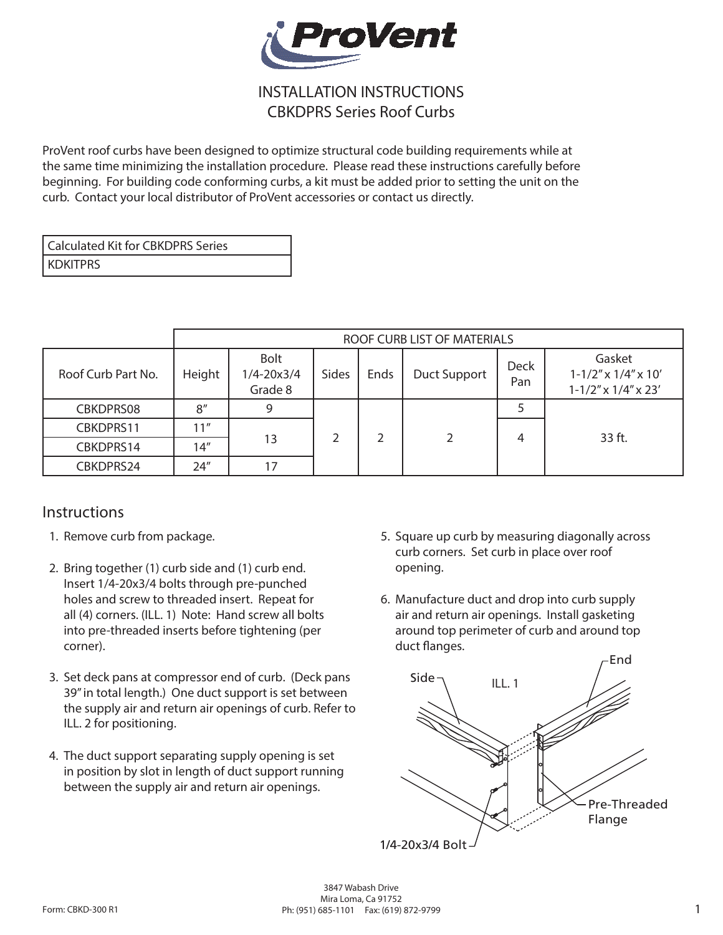

## INSTALLATION INSTRUCTIONS CBKDPRS Series Roof Curbs

ProVent roof curbs have been designed to optimize structural code building requirements while at the same time minimizing the installation procedure. Please read these instructions carefully before beginning. For building code conforming curbs, a kit must be added prior to setting the unit on the curb. Contact your local distributor of ProVent accessories or contact us directly.

| l Calculated Kit for CBKDPRS Series |
|-------------------------------------|
| i kdkitprs                          |

|                    | ROOF CURB LIST OF MATERIALS |                                          |       |      |                     |                    |                                                                          |
|--------------------|-----------------------------|------------------------------------------|-------|------|---------------------|--------------------|--------------------------------------------------------------------------|
| Roof Curb Part No. | Height                      | <b>Bolt</b><br>$1/4 - 20x3/4$<br>Grade 8 | Sides | Ends | <b>Duct Support</b> | <b>Deck</b><br>Pan | Gasket<br>$1 - 1/2''$ x $1/4''$ x $10'$<br>$1 - 1/2''$ x $1/4''$ x $23'$ |
| CBKDPRS08          | 8''                         | 9                                        |       | っ    | 2                   |                    | 33 ft.                                                                   |
| CBKDPRS11          | 11″                         | 13                                       |       |      |                     | 4                  |                                                                          |
| CBKDPRS14          | 14''                        |                                          |       |      |                     |                    |                                                                          |
| CBKDPRS24          | 24"                         | 17                                       |       |      |                     |                    |                                                                          |

## Instructions

- 1. Remove curb from package.
- 2. Bring together (1) curb side and (1) curb end. Insert 1/4-20x3/4 bolts through pre-punched holes and screw to threaded insert. Repeat for all (4) corners. (ILL. 1) Note: Hand screw all bolts into pre-threaded inserts before tightening (per corner).
- 3. Set deck pans at compressor end of curb. (Deck pans 39" in total length.) One duct support is set between the supply air and return air openings of curb. Refer to ILL. 2 for positioning.
- 4. The duct support separating supply opening is set in position by slot in length of duct support running between the supply air and return air openings.
- 5. Square up curb by measuring diagonally across curb corners. Set curb in place over roof opening.
- 6. Manufacture duct and drop into curb supply air and return air openings. Install gasketing around top perimeter of curb and around top duct flanges.